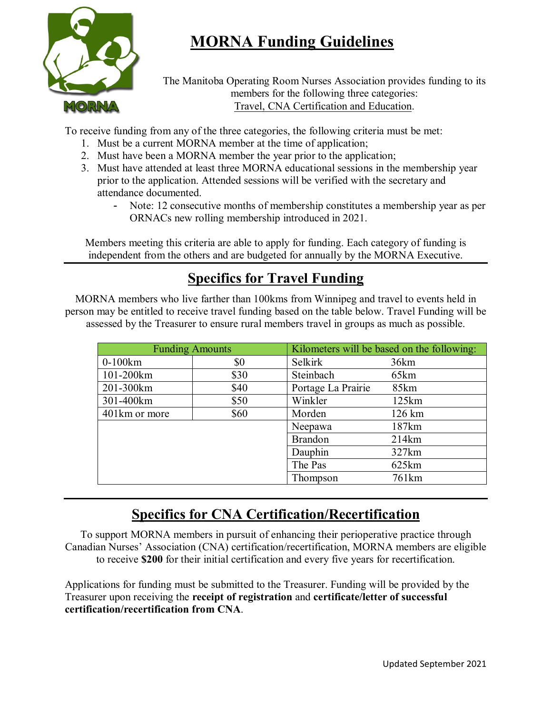# **MORNA Funding Guidelines**



The Manitoba Operating Room Nurses Association provides funding to its members for the following three categories: Travel, CNA Certification and Education.

To receive funding from any of the three categories, the following criteria must be met:

- 1. Must be a current MORNA member at the time of application;
- 2. Must have been a MORNA member the year prior to the application;
- 3. Must have attended at least three MORNA educational sessions in the membership year prior to the application. Attended sessions will be verified with the secretary and attendance documented.
	- Note: 12 consecutive months of membership constitutes a membership year as per ORNACs new rolling membership introduced in 2021.

Members meeting this criteria are able to apply for funding. Each category of funding is independent from the others and are budgeted for annually by the MORNA Executive.

## **Specifics for Travel Funding**

MORNA members who live farther than 100kms from Winnipeg and travel to events held in person may be entitled to receive travel funding based on the table below. Travel Funding will be assessed by the Treasurer to ensure rural members travel in groups as much as possible.

| <b>Funding Amounts</b> |      | Kilometers will be based on the following: |                   |
|------------------------|------|--------------------------------------------|-------------------|
| $0-100km$              | \$0  | <b>Selkirk</b>                             | 36km              |
| 101-200km              | \$30 | Steinbach                                  | 65km              |
| 201-300km              | \$40 | Portage La Prairie                         | 85km              |
| 301-400km              | \$50 | Winkler                                    | 125km             |
| 401km or more          | \$60 | Morden                                     | 126 km            |
|                        |      | Neepawa                                    | 187km             |
|                        |      | <b>Brandon</b>                             | 214km             |
|                        |      | Dauphin                                    | 327km             |
|                        |      | The Pas                                    | 625km             |
|                        |      | Thompson                                   | 761 <sub>km</sub> |

### **Specifics for CNA Certification/Recertification**

To support MORNA members in pursuit of enhancing their perioperative practice through Canadian Nurses' Association (CNA) certification/recertification, MORNA members are eligible to receive **\$200** for their initial certification and every five years for recertification.

Applications for funding must be submitted to the Treasurer. Funding will be provided by the Treasurer upon receiving the **receipt of registration** and **certificate/letter of successful certification/recertification from CNA**.